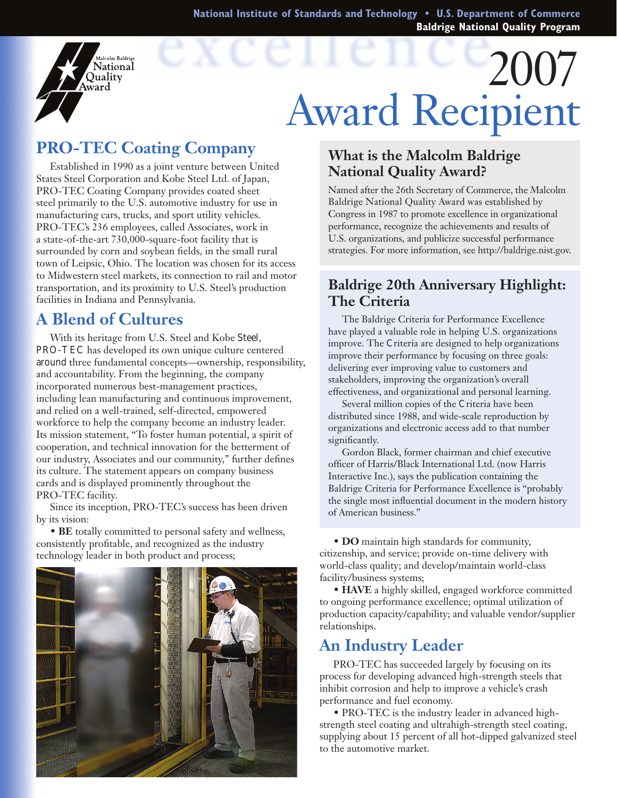**National Institute of Standards and Technology • U.S. Department of Commerce Baldrige National Quality Program**

# 2007 Award Recipient

# **PRO-TEC Coating Company**

alcolm Baldrige **National** Ouality ward

Established in 1990 as a joint venture between United States Steel Corporation and Kobe Steel Ltd. of Japan, PRO-TEC Coating Company provides coated sheet steel primarily to the U.S. automotive industry for use in manufacturing cars, trucks, and sport utility vehicles. PRO-TEC's 236 employees, called Associates, work in a state-of-the-art 730,000-square-foot facility that is surrounded by corn and soybean fields, in the small rural town of Leipsic, Ohio. The location was chosen for its access to Midwestern steel markets, its connection to rail and motor transportation, and its proximity to U.S. Steel's production facilities in Indiana and Pennsylvania.

### **A Blend of Cultures**

With its heritage from U.S. Steel and Kobe Steel, PRO-TEC has developed its own unique culture centered around three fundamental concepts—ownership, responsibility, and accountability. From the beginning, the company incorporated numerous best-management practices, including lean manufacturing and continuous improvement, and relied on a well-trained, self-directed, empowered workforce to help the company become an industry leader. Its mission statement, "To foster human potential, a spirit of cooperation, and technical innovation for the betterment of our industry, Associates and our community," further defines its culture. The statement appears on company business cards and is displayed prominently throughout the PRO-TEC facility.

Since its inception, PRO-TEC's success has been driven by its vision:

 • **BE** totally committed to personal safety and wellness, consistently profitable, and recognized as the industry technology leader in both product and process;

#### **What is the Malcolm Baldrige National Quality Award?**

Named after the 26th Secretary of Commerce, the Malcolm Baldrige National Quality Award was established by Congress in 1987 to promote excellence in organizational performance, recognize the achievements and results of U.S. organizations, and publicize successful performance strategies. For more information, see http://baldrige.nist.gov.

#### **Baldrige 20th Anniversary Highlight: The Criteria**

The Baldrige Criteria for Performance Excellence have played a valuable role in helping U.S. organizations improve. The Criteria are designed to help organizations improve their performance by focusing on three goals: delivering ever improving value to customers and stakeholders, improving the organization's overall effectiveness, and organizational and personal learning.

Several million copies of the Criteria have been distributed since 1988, and wide-scale reproduction by organizations and electronic access add to that number significantly.

Gordon Black, former chairman and chief executive officer of Harris/Black International Ltd. (now Harris Interactive Inc.), says the publication containing the Baldrige Criteria for Performance Excellence is "probably the single most influential document in the modern history of American business."

 • **DO** maintain high standards for community, citizenship, and service; provide on-time delivery with world-class quality; and develop/maintain world-class facility/business systems;

• **HAVE** a highly skilled, engaged workforce committed to ongoing performance excellence; optimal utilization of production capacity/capability; and valuable vendor/supplier relationships.

## **An Industry Leader**

PRO-TEC has succeeded largely by focusing on its process for developing advanced high-strength steels that inhibit corrosion and help to improve a vehicle's crash performance and fuel economy.

• PRO-TEC is the industry leader in advanced highstrength steel coating and ultrahigh-strength steel coating, supplying about 15 percent of all hot-dipped galvanized steel to the automotive market.